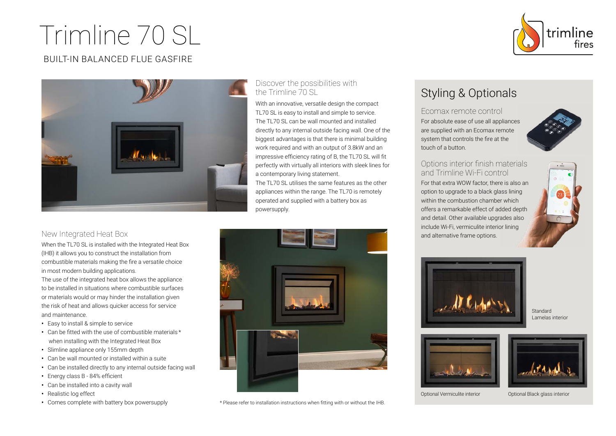# Trimline 70 SL



### BUILT-IN BALANCED FLUE GASFIRE



#### Discover the possibilities with the Trimline 70 SL

With an innovative, versatile design the compact TL70 SL is easy to install and simple to service. The TL70 SL can be wall mounted and installed directly to any internal outside facing wall. One of the biggest advantages is that there is minimal building work required and with an output of 3.8kW and an impressive efficiency rating of B, the TL70 SL will fit perfectly with virtually all interiors with sleek lines for a contemporary living statement.

The TL70 SL utilises the same features as the other appliances within the range. The TL70 is remotely operated and supplied with a battery box as powersupply.

#### New Integrated Heat Box

When the TL70 SL is installed with the Integrated Heat Box (IHB) it allows you to construct the installation from combustible materials making the fire a versatile choice in most modern building applications.

The use of the integrated heat box allows the appliance to be installed in situations where combustible surfaces or materials would or may hinder the installation given the risk of heat and allows quicker access for service and maintenance.

- **•** Easy to install & simple to service
- Can be fitted with the use of combustible materials \* when installing with the Integrated Heat Box
- **•** Slimline appliance only 155mm depth
- **•** Can be wall mounted or installed within a suite
- **•** Can be installed directly to any internal outside facing wall
- **•** Energy class B 84% efficient
- **•** Can be installed into a cavity wall
- Realistic log effect
- 



• Comes complete with battery box powersupply  $*$  Please refer to installation instructions when fitting with or without the IHB.

## Styling & Optionals

Ecomax remote control For absolute ease of use all appliances are supplied with an Ecomax remote system that controls the fire at the touch of a button.



#### Options interior finish materials and Trimline Wi-Fi control

For that extra WOW factor, there is also an option to upgrade to a black glass lining within the combustion chamber which offers a remarkable effect of added depth and detail. Other available upgrades also include Wi-Fi, vermiculite interior lining and alternative frame options.





**Standard** Lamelas interior





Optional Vermiculite interior Optional Black glass interior